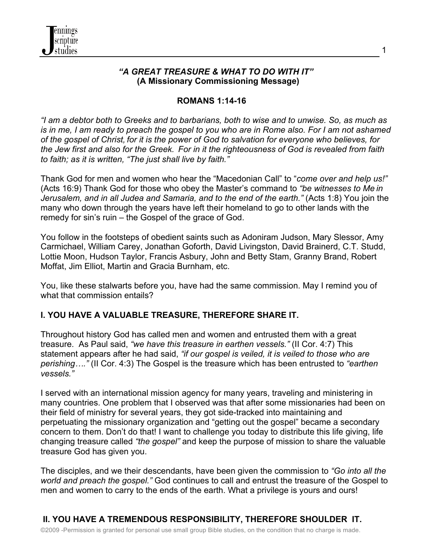

#### *"A GREAT TREASURE & WHAT TO DO WITH IT"*  **(A Missionary Commissioning Message)**

#### **ROMANS 1:14-16**

*"I am a debtor both to Greeks and to barbarians, both to wise and to unwise. So, as much as is in me, I am ready to preach the gospel to you who are in Rome also. For I am not ashamed of the gospel of Christ, for it is the power of God to salvation for everyone who believes, for the Jew first and also for the Greek. For in it the righteousness of God is revealed from faith to faith; as it is written, "The just shall live by faith."*

Thank God for men and women who hear the "Macedonian Call" to "*come over and help us!"* (Acts 16:9) Thank God for those who obey the Master's command to *"be witnesses to Me in Jerusalem, and in all Judea and Samaria, and to the end of the earth."* (Acts 1:8) You join the many who down through the years have left their homeland to go to other lands with the remedy for sin's ruin – the Gospel of the grace of God.

You follow in the footsteps of obedient saints such as Adoniram Judson, Mary Slessor, Amy Carmichael, William Carey, Jonathan Goforth, David Livingston, David Brainerd, C.T. Studd, Lottie Moon, Hudson Taylor, Francis Asbury, John and Betty Stam, Granny Brand, Robert Moffat, Jim Elliot, Martin and Gracia Burnham, etc.

You, like these stalwarts before you, have had the same commission. May I remind you of what that commission entails?

# **I. YOU HAVE A VALUABLE TREASURE, THEREFORE SHARE IT.**

Throughout history God has called men and women and entrusted them with a great treasure. As Paul said, *"we have this treasure in earthen vessels."* (II Cor. 4:7) This statement appears after he had said, *"if our gospel is veiled, it is veiled to those who are perishing…."* (II Cor. 4:3) The Gospel is the treasure which has been entrusted to *"earthen vessels."*

I served with an international mission agency for many years, traveling and ministering in many countries. One problem that I observed was that after some missionaries had been on their field of ministry for several years, they got side-tracked into maintaining and perpetuating the missionary organization and "getting out the gospel" became a secondary concern to them. Don't do that! I want to challenge you today to distribute this life giving, life changing treasure called *"the gospel"* and keep the purpose of mission to share the valuable treasure God has given you.

The disciples, and we their descendants, have been given the commission to *"Go into all the world and preach the gospel."* God continues to call and entrust the treasure of the Gospel to men and women to carry to the ends of the earth. What a privilege is yours and ours!

## ©2009 -Permission is granted for personal use small group Bible studies, on the condition that no charge is made. **II. YOU HAVE A TREMENDOUS RESPONSIBILITY, THEREFORE SHOULDER IT.**

1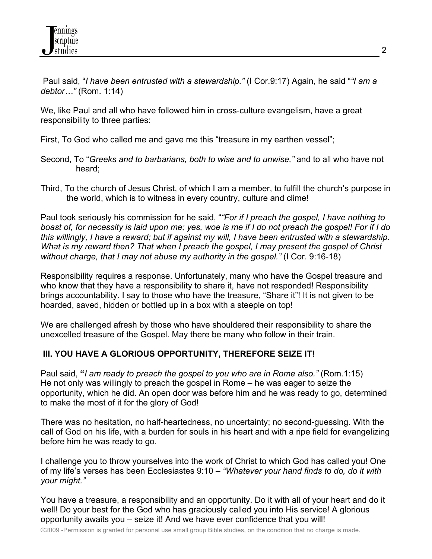Paul said, "*I have been entrusted with a stewardship."* (I Cor.9:17) Again, he said "*"I am a debtor…"* (Rom. 1:14)

We, like Paul and all who have followed him in cross-culture evangelism, have a great responsibility to three parties:

First, To God who called me and gave me this "treasure in my earthen vessel";

- Second, To "*Greeks and to barbarians, both to wise and to unwise,"* and to all who have not heard;
- Third, To the church of Jesus Christ, of which I am a member, to fulfill the church's purpose in the world, which is to witness in every country, culture and clime!

Paul took seriously his commission for he said, "*"For if I preach the gospel, I have nothing to boast of, for necessity is laid upon me; yes, woe is me if I do not preach the gospel! For if I do this willingly, I have a reward; but if against my will, I have been entrusted with a stewardship. What is my reward then? That when I preach the gospel, I may present the gospel of Christ without charge, that I may not abuse my authority in the gospel."* (I Cor. 9:16-18)

Responsibility requires a response. Unfortunately, many who have the Gospel treasure and who know that they have a responsibility to share it, have not responded! Responsibility brings accountability. I say to those who have the treasure, "Share it"! It is not given to be hoarded, saved, hidden or bottled up in a box with a steeple on top!

We are challenged afresh by those who have shouldered their responsibility to share the unexcelled treasure of the Gospel. May there be many who follow in their train.

# **III. YOU HAVE A GLORIOUS OPPORTUNITY, THEREFORE SEIZE IT!**

Paul said, **"***I am ready to preach the gospel to you who are in Rome also."* (Rom.1:15) He not only was willingly to preach the gospel in Rome – he was eager to seize the opportunity, which he did. An open door was before him and he was ready to go, determined to make the most of it for the glory of God!

There was no hesitation, no half-heartedness, no uncertainty; no second-guessing. With the call of God on his life, with a burden for souls in his heart and with a ripe field for evangelizing before him he was ready to go.

I challenge you to throw yourselves into the work of Christ to which God has called you! One of my life's verses has been Ecclesiastes 9:10 – *"Whatever your hand finds to do, do it with your might."* 

You have a treasure, a responsibility and an opportunity. Do it with all of your heart and do it well! Do your best for the God who has graciously called you into His service! A glorious opportunity awaits you – seize it! And we have ever confidence that you will!